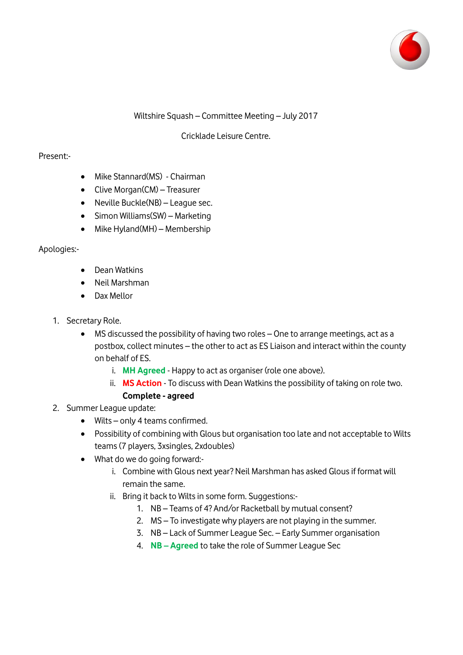

## Wiltshire Squash – Committee Meeting – July 2017

# Cricklade Leisure Centre.

## Present:-

- Mike Stannard(MS) Chairman
- Clive Morgan(CM) Treasurer
- Neville Buckle(NB) League sec.
- $\bullet$  Simon Williams(SW) Marketing
- Mike Hyland(MH) Membership

### Apologies:-

- Dean Watkins
- Neil Marshman
- Dax Mellor
- 1. Secretary Role.
	- MS discussed the possibility of having two roles One to arrange meetings, act as a postbox, collect minutes – the other to act as ES Liaison and interact within the county on behalf of ES.
		- i. **MH Agreed** Happy to act as organiser (role one above).
		- ii. **MS Action** To discuss with Dean Watkins the possibility of taking on role two. **Complete - agreed**
- 2. Summer League update:
	- Wilts only 4 teams confirmed.
	- Possibility of combining with Glous but organisation too late and not acceptable to Wilts teams (7 players, 3xsingles, 2xdoubles)
	- What do we do going forward:
		- i. Combine with Glous next year? Neil Marshman has asked Glous if format will remain the same.
		- ii. Bring it back to Wilts in some form. Suggestions:-
			- 1. NB Teams of 4? And/or Racketball by mutual consent?
			- 2. MS To investigate why players are not playing in the summer.
			- 3. NB Lack of Summer League Sec. Early Summer organisation
			- 4. **NB – Agreed** to take the role of Summer League Sec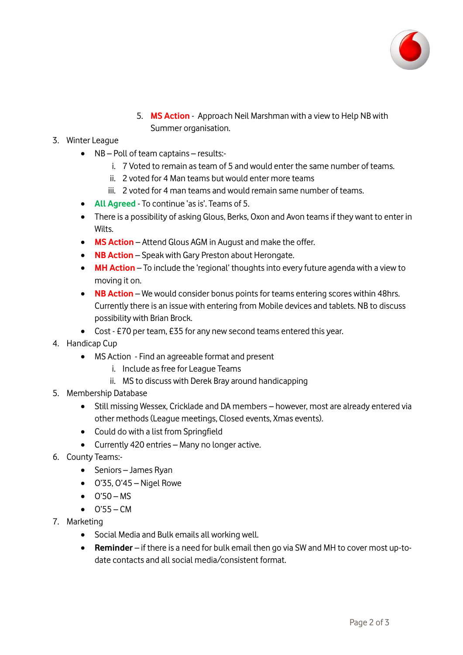

5. **MS Action** - Approach Neil Marshman with a view to Help NB with Summer organisation.

# 3. Winter League

- NB Poll of team captains results:
	- i. 7 Voted to remain as team of 5 and would enter the same number of teams.
	- ii. 2 voted for 4 Man teams but would enter more teams
	- iii. 2 voted for 4 man teams and would remain same number of teams.
- **All Agreed** To continue 'as is'. Teams of 5.
- There is a possibility of asking Glous, Berks, Oxon and Avon teams if they want to enter in Wilts.
- **MS Action** Attend Glous AGM in August and make the offer.
- **NB Action** Speak with Gary Preston about Herongate.
- **MH Action** To include the 'regional' thoughts into every future agenda with a view to moving it on.
- **NB Action** We would consider bonus points for teams entering scores within 48hrs. Currently there is an issue with entering from Mobile devices and tablets. NB to discuss possibility with Brian Brock.
- Cost £70 per team, £35 for any new second teams entered this year.
- 4. Handicap Cup
	- MS Action Find an agreeable format and present
		- i. Include as free for League Teams
		- ii. MS to discuss with Derek Bray around handicapping
- 5. Membership Database
	- Still missing Wessex, Cricklade and DA members however, most are already entered via other methods (League meetings, Closed events, Xmas events).
	- Could do with a list from Springfield
	- Currently 420 entries Many no longer active.
- 6. County Teams:-
	- Seniors James Ryan
	- $\bullet$  O'35, O'45 Nigel Rowe
	- $\bullet$   $O'50 MS$
	- $O'55 CM$
- 7. Marketing
	- Social Media and Bulk emails all working well.
	- **Reminder** if there is a need for bulk email then go via SW and MH to cover most up-todate contacts and all social media/consistent format.